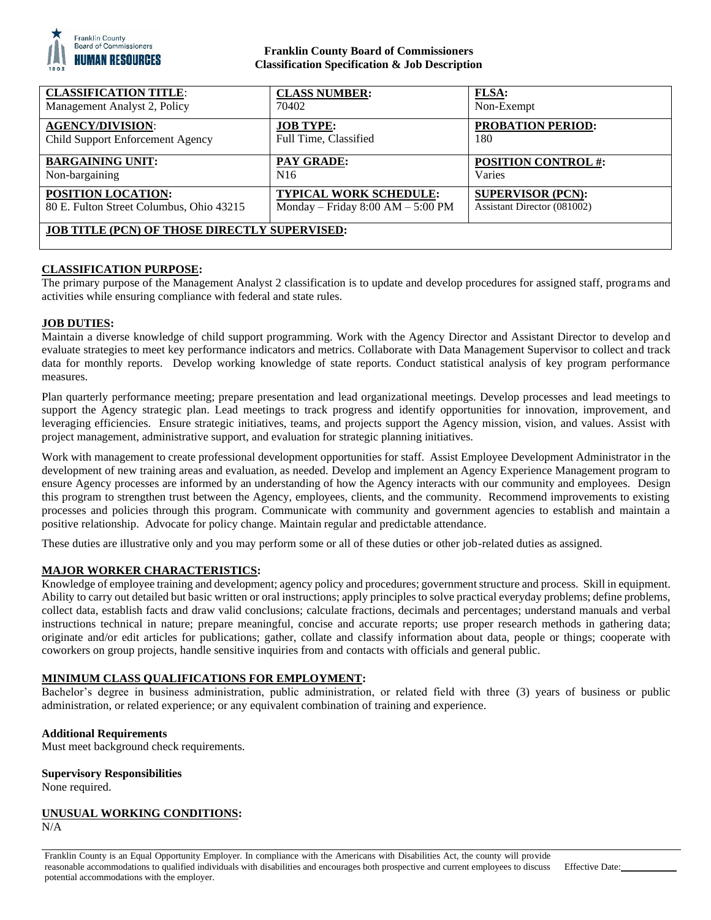

# **Franklin County Board of Commissioners Classification Specification & Job Description**

| <b>CLASSIFICATION TITLE:</b>                         | <b>CLASS NUMBER:</b>                | <b>FLSA:</b>                |
|------------------------------------------------------|-------------------------------------|-----------------------------|
| Management Analyst 2, Policy                         | 70402                               | Non-Exempt                  |
| <b>AGENCY/DIVISION:</b>                              | <b>JOB TYPE:</b>                    | <b>PROBATION PERIOD:</b>    |
| Child Support Enforcement Agency                     | Full Time, Classified               | 180                         |
| <b>BARGAINING UNIT:</b>                              | PAY GRADE:                          | <b>POSITION CONTROL #:</b>  |
| Non-bargaining                                       | N <sub>16</sub>                     | Varies                      |
| <b>POSITION LOCATION:</b>                            | <b>TYPICAL WORK SCHEDULE:</b>       | <b>SUPERVISOR (PCN):</b>    |
| 80 E. Fulton Street Columbus, Ohio 43215             | Monday – Friday $8:00 AM - 5:00 PM$ | Assistant Director (081002) |
| <b>JOB TITLE (PCN) OF THOSE DIRECTLY SUPERVISED:</b> |                                     |                             |

# **CLASSIFICATION PURPOSE:**

The primary purpose of the Management Analyst 2 classification is to update and develop procedures for assigned staff, programs and activities while ensuring compliance with federal and state rules.

### **JOB DUTIES:**

Maintain a diverse knowledge of child support programming. Work with the Agency Director and Assistant Director to develop and evaluate strategies to meet key performance indicators and metrics. Collaborate with Data Management Supervisor to collect and track data for monthly reports. Develop working knowledge of state reports. Conduct statistical analysis of key program performance measures.

Plan quarterly performance meeting; prepare presentation and lead organizational meetings. Develop processes and lead meetings to support the Agency strategic plan. Lead meetings to track progress and identify opportunities for innovation, improvement, and leveraging efficiencies. Ensure strategic initiatives, teams, and projects support the Agency mission, vision, and values. Assist with project management, administrative support, and evaluation for strategic planning initiatives.

Work with management to create professional development opportunities for staff. Assist Employee Development Administrator in the development of new training areas and evaluation, as needed. Develop and implement an Agency Experience Management program to ensure Agency processes are informed by an understanding of how the Agency interacts with our community and employees. Design this program to strengthen trust between the Agency, employees, clients, and the community. Recommend improvements to existing processes and policies through this program. Communicate with community and government agencies to establish and maintain a positive relationship. Advocate for policy change. Maintain regular and predictable attendance.

These duties are illustrative only and you may perform some or all of these duties or other job-related duties as assigned.

### **MAJOR WORKER CHARACTERISTICS:**

Knowledge of employee training and development; agency policy and procedures; government structure and process. Skill in equipment. Ability to carry out detailed but basic written or oral instructions; apply principles to solve practical everyday problems; define problems, collect data, establish facts and draw valid conclusions; calculate fractions, decimals and percentages; understand manuals and verbal instructions technical in nature; prepare meaningful, concise and accurate reports; use proper research methods in gathering data; originate and/or edit articles for publications; gather, collate and classify information about data, people or things; cooperate with coworkers on group projects, handle sensitive inquiries from and contacts with officials and general public.

#### **MINIMUM CLASS QUALIFICATIONS FOR EMPLOYMENT:**

Bachelor's degree in business administration, public administration, or related field with three (3) years of business or public administration, or related experience; or any equivalent combination of training and experience.

#### **Additional Requirements**

Must meet background check requirements.

#### **Supervisory Responsibilities**

None required.

### **UNUSUAL WORKING CONDITIONS:**

N/A

Franklin County is an Equal Opportunity Employer. In compliance with the Americans with Disabilities Act, the county will provide reasonable accommodations to qualified individuals with disabilities and encourages both prospective and current employees to discuss potential accommodations with the employer.

Effective Date: